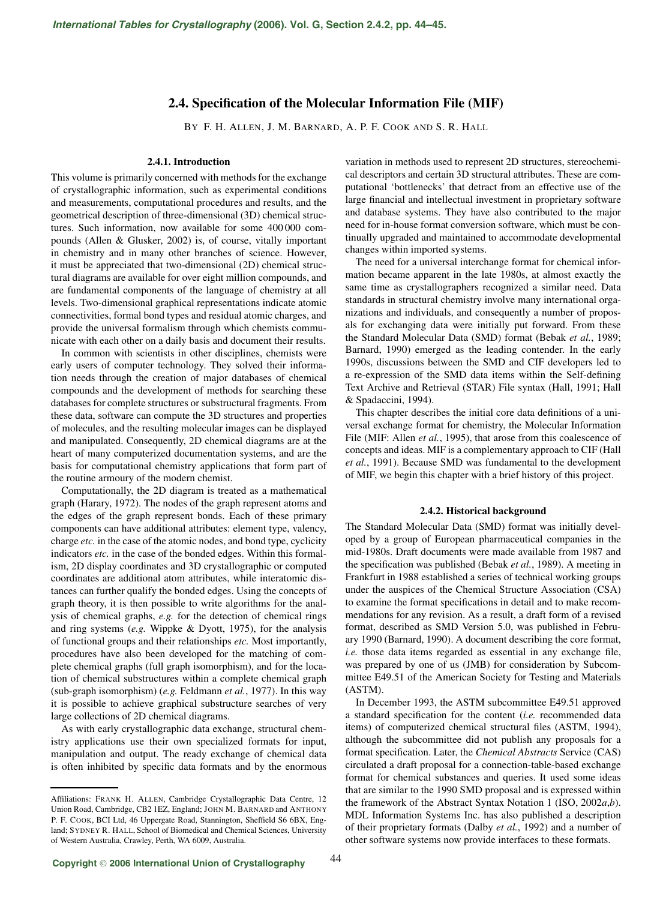# **2.4. Specification of the Molecular Information File (MIF)**

BY F. H. ALLEN, J. M. BARNARD, A. P. F. COOK AND S. R. HALL

#### **2.4.1. Introduction**

This volume is primarily concerned with methods for the exchange of crystallographic information, such as experimental conditions and measurements, computational procedures and results, and the geometrical description of three-dimensional (3D) chemical structures. Such information, now available for some 400 000 compounds (Allen & Glusker, 2002) is, of course, vitally important in chemistry and in many other branches of science. However, it must be appreciated that two-dimensional (2D) chemical structural diagrams are available for over eight million compounds, and are fundamental components of the language of chemistry at all levels. Two-dimensional graphical representations indicate atomic connectivities, formal bond types and residual atomic charges, and provide the universal formalism through which chemists communicate with each other on a daily basis and document their results.

In common with scientists in other disciplines, chemists were early users of computer technology. They solved their information needs through the creation of major databases of chemical compounds and the development of methods for searching these databases for complete structures or substructural fragments. From these data, software can compute the 3D structures and properties of molecules, and the resulting molecular images can be displayed and manipulated. Consequently, 2D chemical diagrams are at the heart of many computerized documentation systems, and are the basis for computational chemistry applications that form part of the routine armoury of the modern chemist.

Computationally, the 2D diagram is treated as a mathematical graph (Harary, 1972). The nodes of the graph represent atoms and the edges of the graph represent bonds. Each of these primary components can have additional attributes: element type, valency, charge *etc.* in the case of the atomic nodes, and bond type, cyclicity indicators *etc.* in the case of the bonded edges. Within this formalism, 2D display coordinates and 3D crystallographic or computed coordinates are additional atom attributes, while interatomic distances can further qualify the bonded edges. Using the concepts of graph theory, it is then possible to write algorithms for the analysis of chemical graphs, *e.g.* for the detection of chemical rings and ring systems (*e.g.* Wippke & Dyott, 1975), for the analysis of functional groups and their relationships *etc.* Most importantly, procedures have also been developed for the matching of complete chemical graphs (full graph isomorphism), and for the location of chemical substructures within a complete chemical graph (sub-graph isomorphism) (*e.g.* Feldmann *et al.*, 1977). In this way it is possible to achieve graphical substructure searches of very large collections of 2D chemical diagrams.

As with early crystallographic data exchange, structural chemistry applications use their own specialized formats for input, manipulation and output. The ready exchange of chemical data is often inhibited by specific data formats and by the enormous variation in methods used to represent 2D structures, stereochemical descriptors and certain 3D structural attributes. These are computational 'bottlenecks' that detract from an effective use of the large financial and intellectual investment in proprietary software and database systems. They have also contributed to the major need for in-house format conversion software, which must be continually upgraded and maintained to accommodate developmental changes within imported systems.

The need for a universal interchange format for chemical information became apparent in the late 1980s, at almost exactly the same time as crystallographers recognized a similar need. Data standards in structural chemistry involve many international organizations and individuals, and consequently a number of proposals for exchanging data were initially put forward. From these the Standard Molecular Data (SMD) format (Bebak *et al.*, 1989; Barnard, 1990) emerged as the leading contender. In the early 1990s, discussions between the SMD and CIF developers led to a re-expression of the SMD data items within the Self-defining Text Archive and Retrieval (STAR) File syntax (Hall, 1991; Hall & Spadaccini, 1994).

This chapter describes the initial core data definitions of a universal exchange format for chemistry, the Molecular Information File (MIF: Allen *et al.*, 1995), that arose from this coalescence of concepts and ideas. MIF is a complementary approach to CIF (Hall *et al.*, 1991). Because SMD was fundamental to the development of MIF, we begin this chapter with a brief history of this project.

#### **2.4.2. Historical background**

The Standard Molecular Data (SMD) format was initially developed by a group of European pharmaceutical companies in the mid-1980s. Draft documents were made available from 1987 and the specification was published (Bebak *et al.*, 1989). A meeting in Frankfurt in 1988 established a series of technical working groups under the auspices of the Chemical Structure Association (CSA) to examine the format specifications in detail and to make recommendations for any revision. As a result, a draft form of a revised format, described as SMD Version 5.0, was published in February 1990 (Barnard, 1990). A document describing the core format, *i.e.* those data items regarded as essential in any exchange file, was prepared by one of us (JMB) for consideration by Subcommittee E49.51 of the American Society for Testing and Materials (ASTM).

In December 1993, the ASTM subcommittee E49.51 approved a standard specification for the content (*i.e.* recommended data items) of computerized chemical structural files (ASTM, 1994), although the subcommittee did not publish any proposals for a format specification. Later, the *Chemical Abstracts* Service (CAS) circulated a draft proposal for a connection-table-based exchange format for chemical substances and queries. It used some ideas that are similar to the 1990 SMD proposal and is expressed within the framework of the Abstract Syntax Notation 1 (ISO, 2002*a*,*b*). MDL Information Systems Inc. has also published a description of their proprietary formats (Dalby *et al.*, 1992) and a number of other software systems now provide interfaces to these formats.

Affiliations: FRANK H. ALLEN, Cambridge Crystallographic Data Centre, 12 Union Road, Cambridge, CB2 1EZ, England; JOHN M. BARNARD and ANTHONY P. F. COOK, BCI Ltd, 46 Uppergate Road, Stannington, Sheffield S6 6BX, England; SYDNEY R. HALL, School of Biomedical and Chemical Sciences, University of Western Australia, Crawley, Perth, WA 6009, Australia.